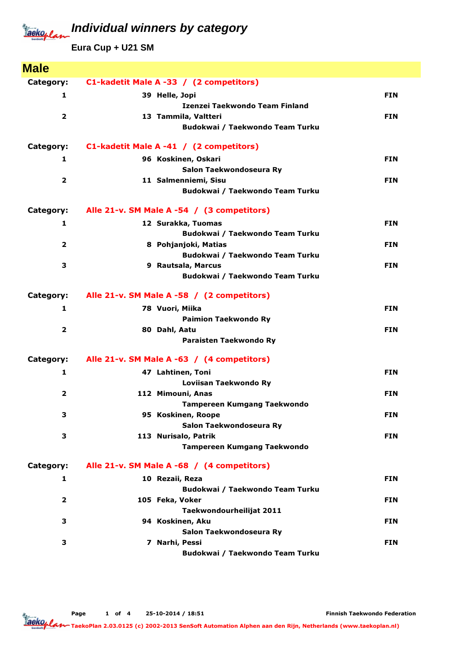**Eura Cup + U21 SM**

| <b>Male</b>    |                                            |            |
|----------------|--------------------------------------------|------------|
| Category:      | C1-kadetit Male A -33 / (2 competitors)    |            |
| 1              | 39 Helle, Jopi                             | <b>FIN</b> |
|                | Izenzei Taekwondo Team Finland             |            |
| $\overline{2}$ | 13 Tammila, Valtteri                       | <b>FIN</b> |
|                | Budokwai / Taekwondo Team Turku            |            |
| Category:      | C1-kadetit Male A -41 / (2 competitors)    |            |
| 1              | 96 Koskinen, Oskari                        | <b>FIN</b> |
|                | Salon Taekwondoseura Ry                    |            |
| $\overline{2}$ | 11 Salmenniemi, Sisu                       | <b>FIN</b> |
|                | Budokwai / Taekwondo Team Turku            |            |
| Category:      | Alle 21-v. SM Male A -54 / (3 competitors) |            |
| 1              | 12 Surakka, Tuomas                         | <b>FIN</b> |
|                | Budokwai / Taekwondo Team Turku            |            |
| $\overline{2}$ | 8 Pohjanjoki, Matias                       | <b>FIN</b> |
|                | Budokwai / Taekwondo Team Turku            |            |
| 3              | 9 Rautsala, Marcus                         | <b>FIN</b> |
|                | Budokwai / Taekwondo Team Turku            |            |
| Category:      | Alle 21-v. SM Male A -58 / (2 competitors) |            |
| $\mathbf{1}$   | 78 Vuori, Miika                            | <b>FIN</b> |
|                | <b>Paimion Taekwondo Ry</b>                |            |
| $\overline{2}$ | 80 Dahl, Aatu                              | <b>FIN</b> |
|                | Paraisten Taekwondo Ry                     |            |
| Category:      | Alle 21-v. SM Male A -63 / (4 competitors) |            |
| 1              | 47 Lahtinen, Toni                          | <b>FIN</b> |
|                | Loviisan Taekwondo Ry                      |            |
| $\overline{2}$ | 112 Mimouni, Anas                          | <b>FIN</b> |
|                | <b>Tampereen Kumgang Taekwondo</b>         |            |
| 3              | 95 Koskinen, Roope                         | <b>FIN</b> |
|                | Salon Taekwondoseura Ry                    |            |
| 3              | 113 Nurisalo, Patrik                       | <b>FIN</b> |
|                | <b>Tampereen Kumgang Taekwondo</b>         |            |
| Category:      | Alle 21-v. SM Male A -68 / (4 competitors) |            |
| 1              | 10 Rezaii, Reza                            | <b>FIN</b> |
|                | Budokwai / Taekwondo Team Turku            |            |
| 2              | 105 Feka, Voker                            | <b>FIN</b> |
|                | Taekwondourheilijat 2011                   |            |
| з              | 94 Koskinen, Aku                           | <b>FIN</b> |
| 3              | Salon Taekwondoseura Ry<br>7 Narhi, Pessi  | <b>FIN</b> |
|                | Budokwai / Taekwondo Team Turku            |            |
|                |                                            |            |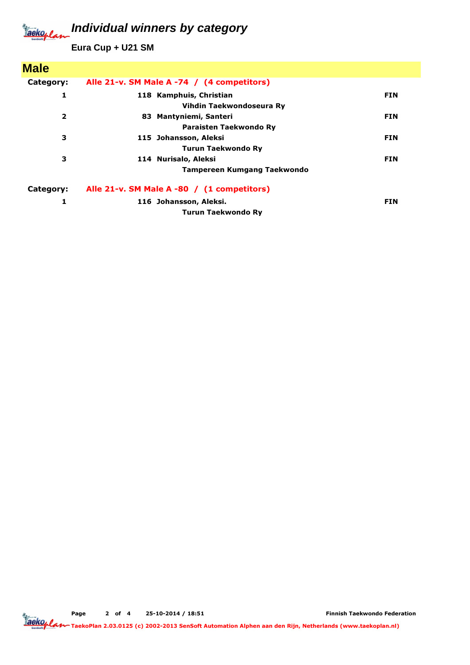**Eura Cup + U21 SM**

| <b>Male</b>             |                                                     |            |
|-------------------------|-----------------------------------------------------|------------|
| Category:               | Alle 21-v. SM Male A -74 / (4 competitors)          |            |
| 1                       | 118 Kamphuis, Christian<br>Vihdin Taekwondoseura Ry | FIN        |
| $\overline{\mathbf{2}}$ | 83 Mantyniemi, Santeri<br>Paraisten Taekwondo Ry    | <b>FIN</b> |
| 3                       | 115 Johansson, Aleksi<br>Turun Taekwondo Ry         | <b>FIN</b> |
| з                       | 114 Nurisalo, Aleksi<br>Tampereen Kumgang Taekwondo | <b>FIN</b> |
| Category:               | Alle 21-v. SM Male A -80 / (1 competitors)          |            |
| 1                       | 116 Johansson, Aleksi.<br><b>Turun Taekwondo Ry</b> | <b>FIN</b> |

Page 2 of 4 25-10-2014 / 18:51

Finnish Taekwondo Federation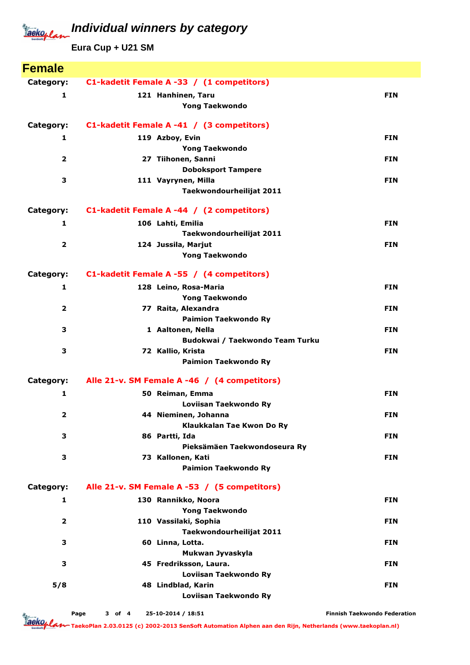**Eura Cup + U21 SM**

| <b>Female</b>           |                                                 |            |
|-------------------------|-------------------------------------------------|------------|
| Category:               | C1-kadetit Female A -33 / (1 competitors)       |            |
| $\mathbf{1}$            | 121 Hanhinen, Taru                              | <b>FIN</b> |
|                         | <b>Yong Taekwondo</b>                           |            |
|                         |                                                 |            |
| Category:               | C1-kadetit Female A -41 / (3 competitors)       |            |
| $\mathbf{1}$            | 119 Azboy, Evin                                 | <b>FIN</b> |
|                         | <b>Yong Taekwondo</b>                           |            |
| $\overline{\mathbf{2}}$ | 27 Tiihonen, Sanni                              | <b>FIN</b> |
| 3                       | <b>Doboksport Tampere</b>                       |            |
|                         | 111 Vayrynen, Milla<br>Taekwondourheilijat 2011 | <b>FIN</b> |
|                         |                                                 |            |
| Category:               | C1-kadetit Female A -44 / (2 competitors)       |            |
| $\mathbf{1}$            | 106 Lahti, Emilia                               | <b>FIN</b> |
|                         | Taekwondourheilijat 2011                        |            |
| $\mathbf{2}$            | 124 Jussila, Marjut                             | <b>FIN</b> |
|                         | <b>Yong Taekwondo</b>                           |            |
| Category:               | C1-kadetit Female A -55 / (4 competitors)       |            |
| 1                       | 128 Leino, Rosa-Maria                           | <b>FIN</b> |
|                         | <b>Yong Taekwondo</b>                           |            |
| $\overline{2}$          | 77 Raita, Alexandra                             | <b>FIN</b> |
|                         | <b>Paimion Taekwondo Ry</b>                     |            |
| 3                       | 1 Aaltonen, Nella                               | <b>FIN</b> |
|                         | Budokwai / Taekwondo Team Turku                 |            |
| 3                       | 72 Kallio, Krista                               | <b>FIN</b> |
|                         | <b>Paimion Taekwondo Ry</b>                     |            |
| Category:               | Alle 21-v. SM Female A -46 / (4 competitors)    |            |
| 1                       | 50 Reiman, Emma                                 | <b>FIN</b> |
|                         | Loviisan Taekwondo Ry                           |            |
| 2                       | 44 Nieminen, Johanna                            | <b>FIN</b> |
|                         | Klaukkalan Tae Kwon Do Ry                       |            |
| 3                       | 86 Partti, Ida                                  | <b>FIN</b> |
|                         | Pieksämäen Taekwondoseura Ry                    |            |
| 3                       | 73 Kallonen, Kati                               | <b>FIN</b> |
|                         | <b>Paimion Taekwondo Ry</b>                     |            |
| Category:               | Alle 21-v. SM Female A -53 / (5 competitors)    |            |
| 1                       | 130 Rannikko, Noora                             | <b>FIN</b> |
|                         | <b>Yong Taekwondo</b>                           |            |
| $\overline{\mathbf{2}}$ | 110 Vassilaki, Sophia                           | <b>FIN</b> |
|                         | Taekwondourheilijat 2011                        |            |
| 3                       | 60 Linna, Lotta.                                | <b>FIN</b> |
|                         | Mukwan Jyvaskyla                                |            |
| 3                       | 45 Fredriksson, Laura.                          | <b>FIN</b> |
|                         | Loviisan Taekwondo Ry                           |            |
| 5/8                     | 48 Lindblad, Karin                              | <b>FIN</b> |
|                         | Loviisan Taekwondo Ry                           |            |

Page 3 of 4 25-10-2014 / 18:51

Finnish Taekwondo Federation